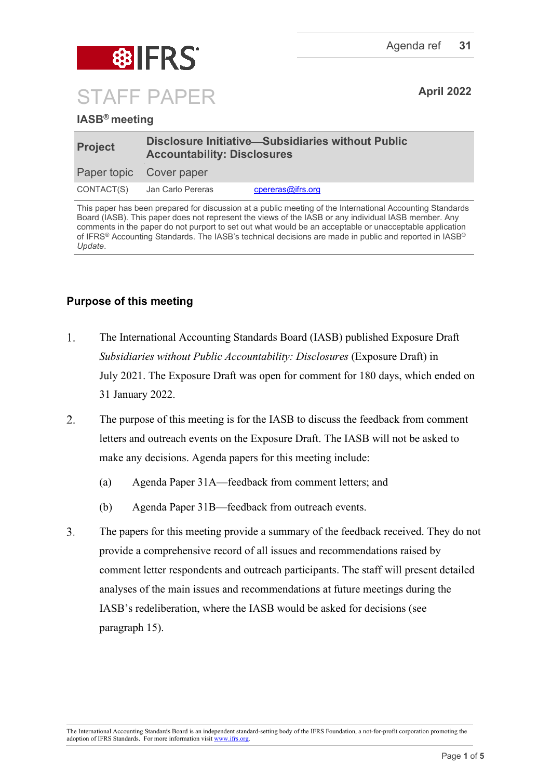

## **IASB® meeting**

| <b>Project</b>          | Disclosure Initiative-Subsidiaries without Public<br><b>Accountability: Disclosures</b> |                   |
|-------------------------|-----------------------------------------------------------------------------------------|-------------------|
| Paper topic Cover paper |                                                                                         |                   |
|                         | CONTACT(S) Jan Carlo Pereras                                                            | cpereras@ifrs.org |

This paper has been prepared for discussion at a public meeting of the International Accounting Standards Board (IASB). This paper does not represent the views of the IASB or any individual IASB member. Any comments in the paper do not purport to set out what would be an acceptable or unacceptable application of IFRS® Accounting Standards. The IASB's technical decisions are made in public and reported in IASB® *Update*.

# **Purpose of this meeting**

- $1.$ The International Accounting Standards Board (IASB) published Exposure Draft *Subsidiaries without Public Accountability: Disclosures* (Exposure Draft) in July 2021. The Exposure Draft was open for comment for 180 days, which ended on 31 January 2022.
- $2.$ The purpose of this meeting is for the IASB to discuss the feedback from comment letters and outreach events on the Exposure Draft. The IASB will not be asked to make any decisions. Agenda papers for this meeting include:
	- (a) Agenda Paper 31A—feedback from comment letters; and
	- (b) Agenda Paper 31B—feedback from outreach events.
- $\overline{3}$ . The papers for this meeting provide a summary of the feedback received. They do not provide a comprehensive record of all issues and recommendations raised by comment letter respondents and outreach participants. The staff will present detailed analyses of the main issues and recommendations at future meetings during the IASB's redeliberation, where the IASB would be asked for decisions (see paragraph [15\)](#page-4-0).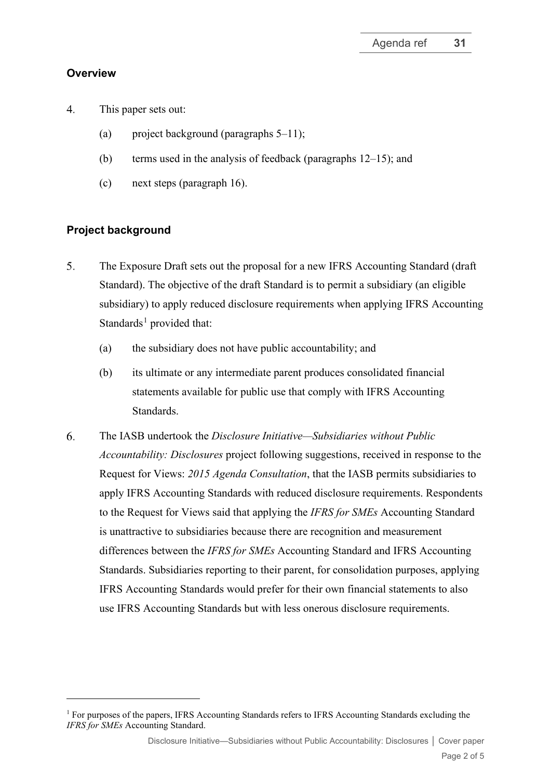### **Overview**

- $\overline{4}$ . This paper sets out:
	- (a) project background (paragraphs  $5-11$ );
	- (b) terms used in the analysis of feedback (paragraphs [12](#page-3-0)[–15\)](#page-3-1); and
	- (c) next steps (paragraph [16\)](#page-4-0).

# **Project background**

- <span id="page-1-0"></span>5. The Exposure Draft sets out the proposal for a new IFRS Accounting Standard (draft Standard). The objective of the draft Standard is to permit a subsidiary (an eligible subsidiary) to apply reduced disclosure requirements when applying IFRS Accounting Standards<sup>[1](#page-1-1)</sup> provided that:
	- (a) the subsidiary does not have public accountability; and
	- (b) its ultimate or any intermediate parent produces consolidated financial statements available for public use that comply with IFRS Accounting Standards.
- 6. The IASB undertook the *Disclosure Initiative—Subsidiaries [without Public](https://www.ifrs.org/content/ifrs/home/projects/work-plan/subsidiaries-smes.html)  [Accountability: Disclosures](https://www.ifrs.org/content/ifrs/home/projects/work-plan/subsidiaries-smes.html)* project following suggestions, received in response to the Request for Views: *2015 Agenda Consultation*, that the IASB permits subsidiaries to apply IFRS Accounting Standards with reduced disclosure requirements. Respondents to the Request for Views said that applying the *IFRS for SMEs* Accounting Standard is unattractive to subsidiaries because there are recognition and measurement differences between the *IFRS for SMEs* Accounting Standard and IFRS Accounting Standards. Subsidiaries reporting to their parent, for consolidation purposes, applying IFRS Accounting Standards would prefer for their own financial statements to also use IFRS Accounting Standards but with less onerous disclosure requirements.

<span id="page-1-1"></span><sup>&</sup>lt;sup>1</sup> For purposes of the papers, IFRS Accounting Standards refers to IFRS Accounting Standards excluding the *IFRS for SMEs* Accounting Standard.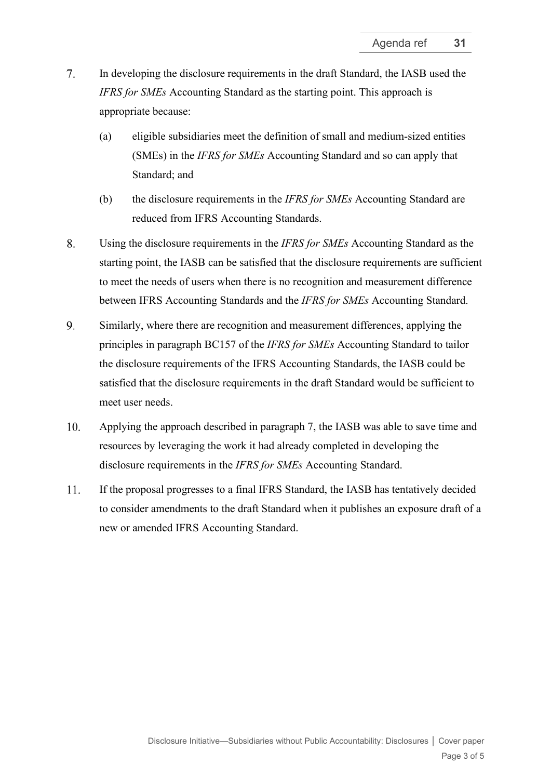- $7.$ In developing the disclosure requirements in the draft Standard, the IASB used the *IFRS for SMEs* Accounting Standard as the starting point. This approach is appropriate because:
	- (a) eligible subsidiaries meet the definition of small and medium-sized entities (SMEs) in the *IFRS for SMEs* Accounting Standard and so can apply that Standard; and
	- (b) the disclosure requirements in the *IFRS for SMEs* Accounting Standard are reduced from IFRS Accounting Standards.
- 8. Using the disclosure requirements in the *IFRS for SMEs* Accounting Standard as the starting point, the IASB can be satisfied that the disclosure requirements are sufficient to meet the needs of users when there is no recognition and measurement difference between IFRS Accounting Standards and the *IFRS for SMEs* Accounting Standard.
- 9. Similarly, where there are recognition and measurement differences, applying the principles in paragraph BC157 of the *IFRS for SMEs* Accounting Standard to tailor the disclosure requirements of the IFRS Accounting Standards, the IASB could be satisfied that the disclosure requirements in the draft Standard would be sufficient to meet user needs.
- <span id="page-2-0"></span>10. Applying the approach described in paragraph 7, the IASB was able to save time and resources by leveraging the work it had already completed in developing the disclosure requirements in the *IFRS for SMEs* Accounting Standard.
- 11. If the proposal progresses to a final IFRS Standard, the IASB has tentatively decided to consider amendments to the draft Standard when it publishes an exposure draft of a new or amended IFRS Accounting Standard.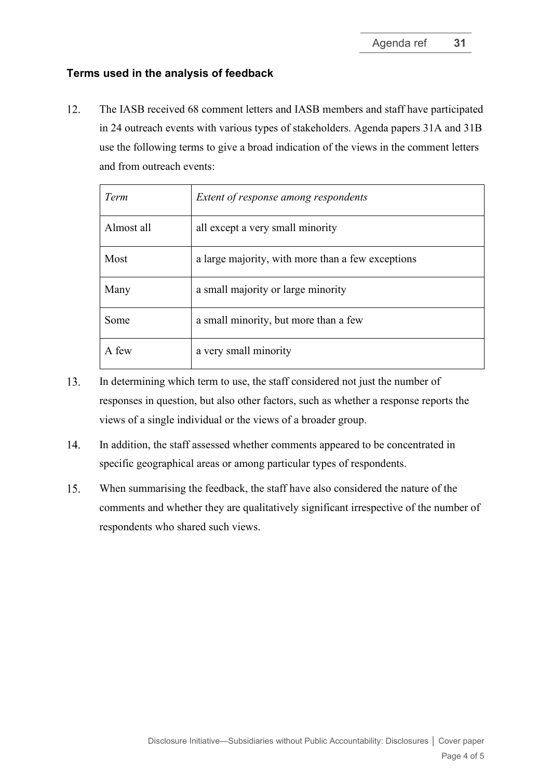#### **Terms used in the analysis of feedback**

<span id="page-3-0"></span> $12.$ The IASB received 68 comment letters and IASB members and staff have participated in 24 outreach events with various types of stakeholders. Agenda papers 31A and 31B use the following terms to give a broad indication of the views in the comment letters and from outreach events:

| Term       | Extent of response among respondents              |
|------------|---------------------------------------------------|
| Almost all | all except a very small minority                  |
| Most       | a large majority, with more than a few exceptions |
| Many       | a small majority or large minority                |
| Some       | a small minority, but more than a few             |
| A few      | a very small minority                             |

- 13. In determining which term to use, the staff considered not just the number of responses in question, but also other factors, such as whether a response reports the views of a single individual or the views of a broader group.
- 14. In addition, the staff assessed whether comments appeared to be concentrated in specific geographical areas or among particular types of respondents.
- <span id="page-3-1"></span>15. When summarising the feedback, the staff have also considered the nature of the comments and whether they are qualitatively significant irrespective of the number of respondents who shared such views.